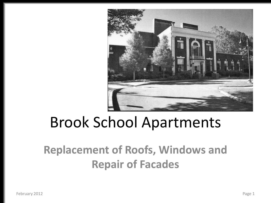

## Brook School Apartments

### **Replacement of Roofs, Windows and Repair of Facades**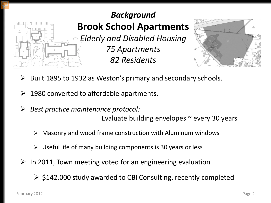

**Brook School Apartments** *Elderly and Disabled Housing 75 Apartments 82 Residents*



- Built 1895 to 1932 as Weston's primary and secondary schools.
- 1980 converted to affordable apartments.
- *Best practice maintenance protocol:*

Evaluate building envelopes  $\sim$  every 30 years

- $\triangleright$  Masonry and wood frame construction with Aluminum windows
- $\triangleright$  Useful life of many building components is 30 years or less
- In 2011, Town meeting voted for an engineering evaluation

 $\geq$  \$142,000 study awarded to CBI Consulting, recently completed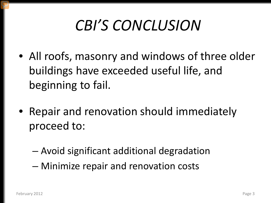# *CBI'S CONCLUSION*

- All roofs, masonry and windows of three older buildings have exceeded useful life, and beginning to fail.
- Repair and renovation should immediately proceed to:
	- Avoid significant additional degradation
	- Minimize repair and renovation costs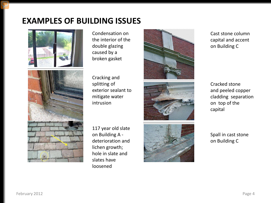### **EXAMPLES OF BUILDING ISSUES**





Condensation on the interior of the double glazing caused by a broken gasket

Cracking and splitting of exterior sealant to mitigate water intrusion

117 year old slate on Building A deterioration and lichen growth; hole in slate and slates have loosened







Cast stone column capital and accent on Building C

Cracked stone and peeled copper cladding separation on top of the capital

Spall in cast stone on Building C